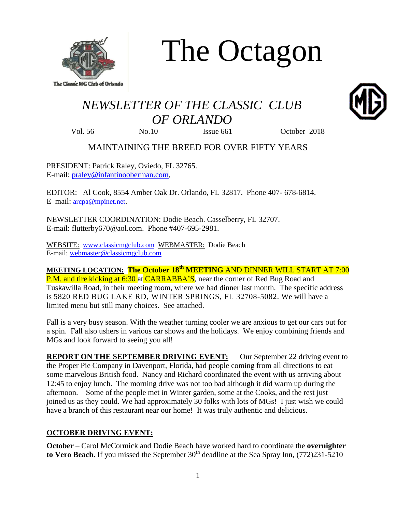

The Octagon

# *NEWSLETTER OF THE CLASSIC CLUB OF ORLANDO*

Vol. 56 No.10 Issue 661 October 2018

MAINTAINING THE BREED FOR OVER FIFTY YEARS

PRESIDENT: Patrick Raley, Oviedo, FL 32765. E-mail: [praley@infantinooberman.com,](mailto:praley@infantinooberman.com)

EDITOR: Al Cook, 8554 Amber Oak Dr. Orlando, FL 32817. Phone 407- 678-6814. E–mail: [arcpa@mpinet.net](mailto:arcpa@mpinet.net).

NEWSLETTER COORDINATION: Dodie Beach. Casselberry, FL 32707. E-mail: flutterby670@aol.com. Phone #407-695-2981.

WEBSITE: [www.classicmgclub.com](http://www.classicmgclub.com/) WEBMASTER: Dodie Beach E-mail[: webmaster@classicmgclub.com](mailto:webmaster@classicmgclub.com)

**MEETING LOCATION: The October 18th MEETING** AND DINNER WILL START AT 7:00 P.M. and tire kicking at 6:30 at CARRABBA'S, near the corner of Red Bug Road and Tuskawilla Road, in their meeting room, where we had dinner last month. The specific address is 5820 RED BUG LAKE RD, WINTER SPRINGS, FL 32708-5082. We will have a limited menu but still many choices. See attached.

Fall is a very busy season. With the weather turning cooler we are anxious to get our cars out for a spin. Fall also ushers in various car shows and the holidays. We enjoy combining friends and MGs and look forward to seeing you all!

**REPORT ON THE SEPTEMBER DRIVING EVENT:** Our September 22 driving event to the Proper Pie Company in Davenport, Florida, had people coming from all directions to eat some marvelous British food. Nancy and Richard coordinated the event with us arriving about 12:45 to enjoy lunch. The morning drive was not too bad although it did warm up during the afternoon. Some of the people met in Winter garden, some at the Cooks, and the rest just joined us as they could. We had approximately 30 folks with lots of MGs! I just wish we could have a branch of this restaurant near our home! It was truly authentic and delicious.

## **OCTOBER DRIVING EVENT:**

**October** – Carol McCormick and Dodie Beach have worked hard to coordinate the **overnighter**  to Vero Beach. If you missed the September 30<sup>th</sup> deadline at the Sea Spray Inn, (772)231-5210

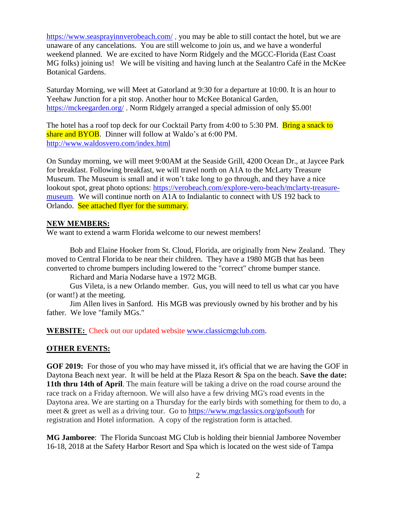<https://www.seasprayinnverobeach.com/>, you may be able to still contact the hotel, but we are unaware of any cancelations. You are still welcome to join us, and we have a wonderful weekend planned. We are excited to have Norm Ridgely and the MGCC-Florida (East Coast MG folks) joining us! We will be visiting and having lunch at the Sealantro Café in the McKee Botanical Gardens.

Saturday Morning, we will Meet at Gatorland at 9:30 for a departure at 10:00. It is an hour to Yeehaw Junction for a pit stop. Another hour to McKee Botanical Garden, <https://mckeegarden.org/> . Norm Ridgely arranged a special admission of only \$5.00!

The hotel has a roof top deck for our Cocktail Party from 4:00 to 5:30 PM. Bring a snack to share and BYOB. Dinner will follow at Waldo's at 6:00 PM. <http://www.waldosvero.com/index.html>

On Sunday morning, we will meet 9:00AM at the Seaside Grill, 4200 Ocean Dr., at Jaycee Park for breakfast. Following breakfast, we will travel north on A1A to the McLarty Treasure Museum. The Museum is small and it won't take long to go through, and they have a nice lookout spot, great photo options: [https://verobeach.com/explore-vero-beach/mclarty-treasure](https://verobeach.com/explore-vero-beach/mclarty-treasure-museum)[museum.](https://verobeach.com/explore-vero-beach/mclarty-treasure-museum) We will continue north on A1A to Indialantic to connect with US 192 back to Orlando. See attached flyer for the summary.

#### **NEW MEMBERS:**

We want to extend a warm Florida welcome to our newest members!

Bob and Elaine Hooker from St. Cloud, Florida, are originally from New Zealand. They moved to Central Florida to be near their children. They have a 1980 MGB that has been converted to chrome bumpers including lowered to the "correct" chrome bumper stance.

Richard and Maria Nodarse have a 1972 MGB.

Gus Vileta, is a new Orlando member. Gus, you will need to tell us what car you have (or want!) at the meeting.

Jim Allen lives in Sanford. His MGB was previously owned by his brother and by his father. We love "family MGs."

**WEBSITE:** Check out our updated website [www.classicmgclub.com.](http://www.classicmgclub.com/)

#### **OTHER EVENTS:**

**GOF 2019:** For those of you who may have missed it, it's official that we are having the GOF in Daytona Beach next year. It will be held at the Plaza Resort & Spa on the beach. **Save the date: 11th thru 14th of April**. The main feature will be taking a drive on the road course around the race track on a Friday afternoon. We will also have a few driving MG's road events in the Daytona area. We are starting on a Thursday for the early birds with something for them to do, a meet & greet as well as a driving tour. Go to<https://www.mgclassics.org/gofsouth> for registration and Hotel information. A copy of the registration form is attached.

**MG Jamboree**: The Florida Suncoast MG Club is holding their biennial Jamboree November 16-18, 2018 at the Safety Harbor Resort and Spa which is located on the west side of Tampa